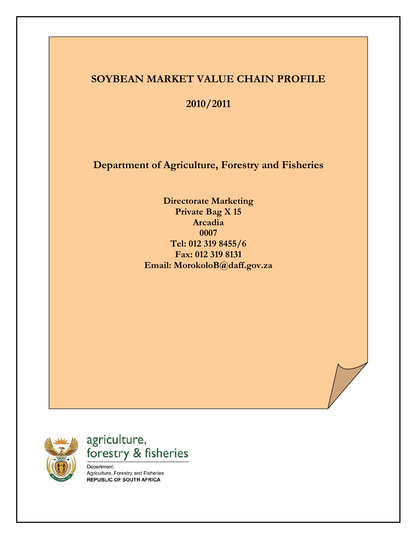### **SOYBEAN MARKET VALUE CHAIN PROFILE**

**2010/2011** 

**Department of Agriculture, Forestry and Fisheries** 

**Directorate Marketing Private Bag X 15 Arcadia 0007 Tel: 012 319 8455/6 Fax: 012 319 8131 Email: MorokoloB@daff.gov.za**



agriculture, forestry & fisheries

Department: Agriculture, Forestry and Fisheries **REPUBLIC OF SOUTH AFRICA**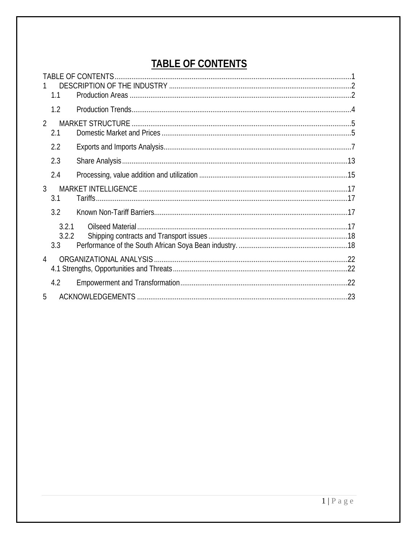# **TABLE OF CONTENTS**

<span id="page-1-0"></span>

|                | 1.1                   |     |
|----------------|-----------------------|-----|
|                | 1.2                   |     |
|                |                       |     |
| $\overline{2}$ | 2.1                   |     |
|                | 2.2                   |     |
|                | 2.3                   |     |
|                | 2.4                   |     |
| $\mathfrak{Z}$ | 3.1                   |     |
|                | 3.2                   |     |
|                | 3.2.1<br>3.2.2<br>3.3 |     |
| $\overline{4}$ |                       |     |
|                | 4.2                   |     |
| 5              |                       | .23 |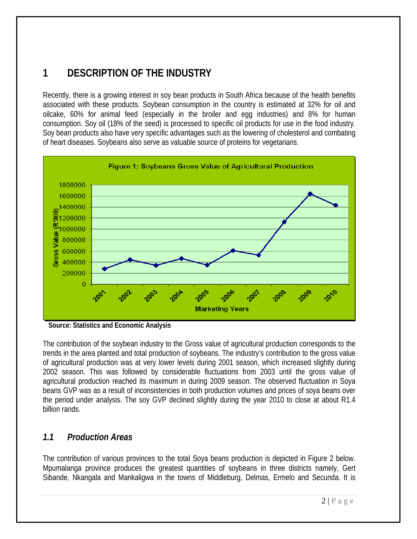# <span id="page-2-0"></span>**1 DESCRIPTION OF THE INDUSTRY**

Recently, there is a growing interest in soy bean products in South Africa because of the health benefits associated with these products. Soybean consumption in the country is estimated at 32% for oil and oilcake, 60% for animal feed (especially in the broiler and egg industries) and 8% for human consumption. Soy oil (18% of the seed) is processed to specific oil products for use in the food industry. Soy bean products also have very specific advantages such as the lowering of cholesterol and combating of heart diseases. Soybeans also serve as valuable source of proteins for vegetarians.



**Source: Statistics and Economic Analysis** 

The contribution of the soybean industry to the Gross value of agricultural production corresponds to the trends in the area planted and total production of soybeans. The industry's contribution to the gross value of agricultural production was at very lower levels during 2001 season, which increased slightly during 2002 season. This was followed by considerable fluctuations from 2003 until the gross value of agricultural production reached its maximum in during 2009 season. The observed fluctuation in Soya beans GVP was as a result of inconsistencies in both production volumes and prices of soya beans over the period under analysis. The soy GVP declined slightly during the year 2010 to close at about R1.4 billion rands.

## *1.1 Production Areas*

The contribution of various provinces to the total Soya beans production is depicted in Figure 2 below. Mpumalanga province produces the greatest quantities of soybeans in three districts namely, Gert Sibande, Nkangala and Mankaligwa in the towns of Middleburg, Delmas, Ermelo and Secunda. It is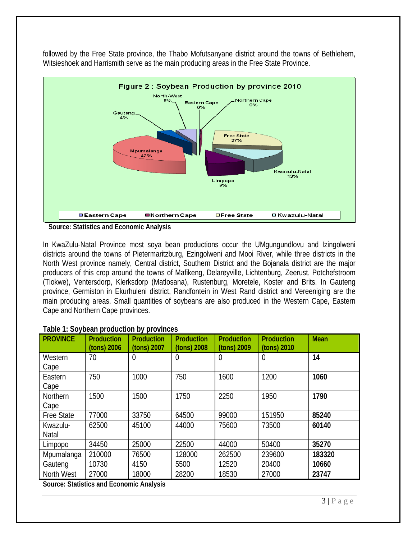

followed by the Free State province, the Thabo Mofutsanyane district around the towns of Bethlehem, Witsieshoek and Harrismith serve as the main producing areas in the Free State Province.

 **Source: Statistics and Economic Analysis** 

In KwaZulu-Natal Province most soya bean productions occur the UMgungundlovu and Izingolweni districts around the towns of Pietermaritzburg, Ezingolweni and Mooi River, while three districts in the North West province namely, Central district, Southern District and the Bojanala district are the major producers of this crop around the towns of Mafikeng, Delareyville, Lichtenburg, Zeerust, Potchefstroom (Tlokwe), Ventersdorp, Klerksdorp (Matlosana), Rustenburg, Moretele, Koster and Brits. In Gauteng province, Germiston in Ekurhuleni district, Randfontein in West Rand district and Vereeniging are the main producing areas. Small quantities of soybeans are also produced in the Western Cape, Eastern Cape and Northern Cape provinces.

| <b>PROVINCE</b>   | <b>Production</b><br>(tons) 2006 | <b>Production</b><br>(tons) 2007 | <b>Production</b><br>(tons) 2008 | <b>Production</b><br>(tons) 2009 | <b>Production</b><br>(tons) 2010 | <b>Mean</b> |
|-------------------|----------------------------------|----------------------------------|----------------------------------|----------------------------------|----------------------------------|-------------|
| Western           | 70                               | 0                                | 0                                | $\overline{0}$                   | $\overline{0}$                   | 14          |
| Cape              |                                  |                                  |                                  |                                  |                                  |             |
| Eastern           | 750                              | 1000                             | 750                              | 1600                             | 1200                             | 1060        |
| Cape              |                                  |                                  |                                  |                                  |                                  |             |
| <b>Northern</b>   | 1500                             | 1500                             | 1750                             | 2250                             | 1950                             | 1790        |
| Cape              |                                  |                                  |                                  |                                  |                                  |             |
| <b>Free State</b> | 77000                            | 33750                            | 64500                            | 99000                            | 151950                           | 85240       |
| Kwazulu-          | 62500                            | 45100                            | 44000                            | 75600                            | 73500                            | 60140       |
| <b>Natal</b>      |                                  |                                  |                                  |                                  |                                  |             |
| Limpopo           | 34450                            | 25000                            | 22500                            | 44000                            | 50400                            | 35270       |
| <b>Mpumalanga</b> | 210000                           | 76500                            | 128000                           | 262500                           | 239600                           | 183320      |
| Gauteng           | 10730                            | 4150                             | 5500                             | 12520                            | 20400                            | 10660       |
| North West        | 27000                            | 18000                            | 28200                            | 18530                            | 27000                            | 23747       |

#### **Table 1: Soybean production by provinces**

**Source: Statistics and Economic Analysis**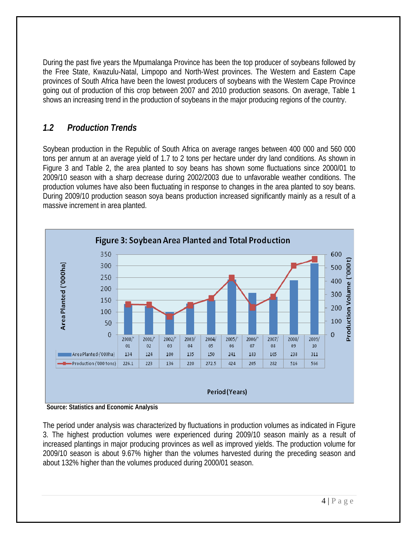<span id="page-4-0"></span>During the past five years the Mpumalanga Province has been the top producer of soybeans followed by the Free State, Kwazulu-Natal, Limpopo and North-West provinces. The Western and Eastern Cape provinces of South Africa have been the lowest producers of soybeans with the Western Cape Province going out of production of this crop between 2007 and 2010 production seasons. On average, Table 1 shows an increasing trend in the production of soybeans in the major producing regions of the country.

## *1.2 Production Trends*

Soybean production in the Republic of South Africa on average ranges between 400 000 and 560 000 tons per annum at an average yield of 1.7 to 2 tons per hectare under dry land conditions. As shown in Figure 3 and Table 2, the area planted to soy beans has shown some fluctuations since 2000/01 to 2009/10 season with a sharp decrease during 2002/2003 due to unfavorable weather conditions. The production volumes have also been fluctuating in response to changes in the area planted to soy beans. During 2009/10 production season soya beans production increased significantly mainly as a result of a massive increment in area planted.



**Source: Statistics and Economic Analysis** 

The period under analysis was characterized by fluctuations in production volumes as indicated in Figure 3. The highest production volumes were experienced during 2009/10 season mainly as a result of increased plantings in major producing provinces as well as improved yields. The production volume for 2009/10 season is about 9.67% higher than the volumes harvested during the preceding season and about 132% higher than the volumes produced during 2000/01 season.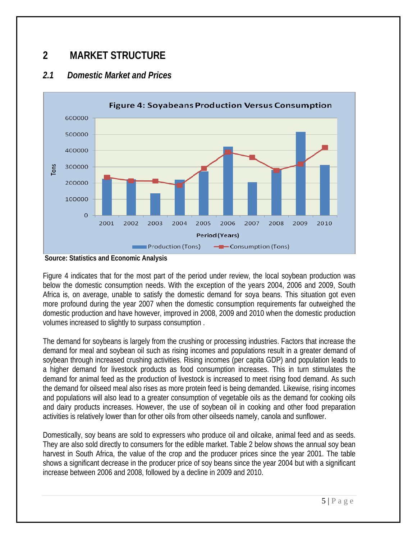# <span id="page-5-0"></span>**2 MARKET STRUCTURE**

### *2.1 Domestic Market and Prices*



**Source: Statistics and Economic Analysis** 

Figure 4 indicates that for the most part of the period under review, the local soybean production was below the domestic consumption needs. With the exception of the years 2004, 2006 and 2009, South Africa is, on average, unable to satisfy the domestic demand for soya beans. This situation got even more profound during the year 2007 when the domestic consumption requirements far outweighed the domestic production and have however, improved in 2008, 2009 and 2010 when the domestic production volumes increased to slightly to surpass consumption .

The demand for soybeans is largely from the crushing or processing industries. Factors that increase the demand for meal and soybean oil such as rising incomes and populations result in a greater demand of soybean through increased crushing activities. Rising incomes (per capita GDP) and population leads to a higher demand for livestock products as food consumption increases. This in turn stimulates the demand for animal feed as the production of livestock is increased to meet rising food demand. As such the demand for oilseed meal also rises as more protein feed is being demanded. Likewise, rising incomes and populations will also lead to a greater consumption of vegetable oils as the demand for cooking oils and dairy products increases. However, the use of soybean oil in cooking and other food preparation activities is relatively lower than for other oils from other oilseeds namely, canola and sunflower.

Domestically, soy beans are sold to expressers who produce oil and oilcake, animal feed and as seeds. They are also sold directly to consumers for the edible market. Table 2 below shows the annual soy bean harvest in South Africa, the value of the crop and the producer prices since the year 2001. The table shows a significant decrease in the producer price of soy beans since the year 2004 but with a significant increase between 2006 and 2008, followed by a decline in 2009 and 2010.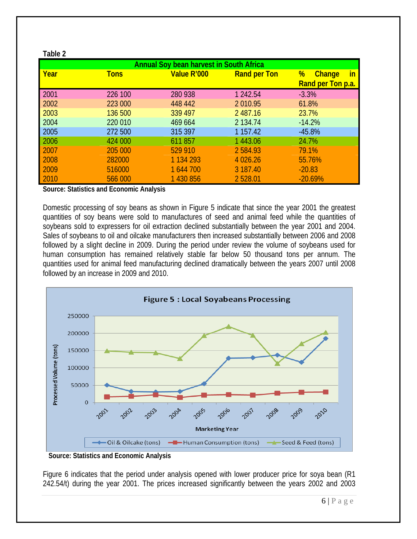|      |             | <b>Annual Soy bean harvest in South Africa</b> |                     |                                                      |
|------|-------------|------------------------------------------------|---------------------|------------------------------------------------------|
| Year | <b>Tons</b> | Value R'000                                    | <b>Rand per Ton</b> | %<br><u>in</u><br><b>Change</b><br>Rand per Ton p.a. |
| 2001 | 226 100     | 280 938                                        | 1 242.54            | $-3.3%$                                              |
| 2002 | 223 000     | 448 442                                        | 2 010.95            | 61.8%                                                |
| 2003 | 136 500     | 339 497                                        | 2 487.16            | 23.7%                                                |
| 2004 | 220 010     | 469 664                                        | 2 134.74            | $-14.2%$                                             |
| 2005 | 272 500     | 315 397                                        | 1 1 5 7 . 4 2       | $-45.8%$                                             |
| 2006 | 424 000     | 611857                                         | 1443.06             | 24.7%                                                |
| 2007 | 205 000     | 529 910                                        | 2 5 8 4 9 3         | 79.1%                                                |
| 2008 | 282000      | 1 1 3 4 2 9 3                                  | 4 0 26.26           | 55.76%                                               |
| 2009 | 516000      | 1 644 700                                      | 3 187.40            | $-20.83$                                             |
| 2010 | 566 000     | 1 430 856                                      | 2 528.01            | $-20.69%$                                            |

**Source: Statistics and Economic Analysis** 

**Table 2** 

Domestic processing of soy beans as shown in Figure 5 indicate that since the year 2001 the greatest quantities of soy beans were sold to manufactures of seed and animal feed while the quantities of soybeans sold to expressers for oil extraction declined substantially between the year 2001 and 2004. Sales of soybeans to oil and oilcake manufacturers then increased substantially between 2006 and 2008 followed by a slight decline in 2009. During the period under review the volume of soybeans used for human consumption has remained relatively stable far below 50 thousand tons per annum. The quantities used for animal feed manufacturing declined dramatically between the years 2007 until 2008 followed by an increase in 2009 and 2010.



**Source: Statistics and Economic Analysis** 

Figure 6 indicates that the period under analysis opened with lower producer price for soya bean (R1 242.54/t) during the year 2001. The prices increased significantly between the years 2002 and 2003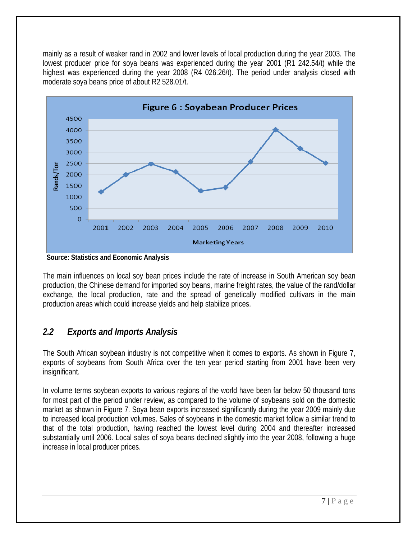<span id="page-7-0"></span>mainly as a result of weaker rand in 2002 and lower levels of local production during the year 2003. The lowest producer price for soya beans was experienced during the year 2001 (R1 242.54/t) while the highest was experienced during the year 2008 (R4 026.26/t). The period under analysis closed with moderate soya beans price of about R2 528.01/t.



 **Source: Statistics and Economic Analysis** 

The main influences on local soy bean prices include the rate of increase in South American soy bean production, the Chinese demand for imported soy beans, marine freight rates, the value of the rand/dollar exchange, the local production, rate and the spread of genetically modified cultivars in the main production areas which could increase yields and help stabilize prices.

## *2.2 Exports and Imports Analysis*

The South African soybean industry is not competitive when it comes to exports. As shown in Figure 7, exports of soybeans from South Africa over the ten year period starting from 2001 have been very insignificant.

In volume terms soybean exports to various regions of the world have been far below 50 thousand tons for most part of the period under review, as compared to the volume of soybeans sold on the domestic market as shown in Figure 7. Soya bean exports increased significantly during the year 2009 mainly due to increased local production volumes. Sales of soybeans in the domestic market follow a similar trend to that of the total production, having reached the lowest level during 2004 and thereafter increased substantially until 2006. Local sales of soya beans declined slightly into the year 2008, following a huge increase in local producer prices.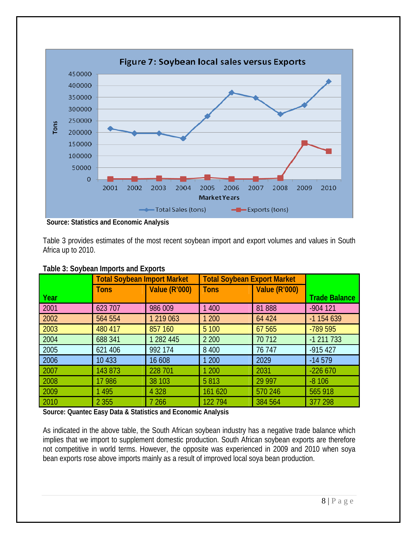

 **Source: Statistics and Economic Analysis** 

Table 3 provides estimates of the most recent soybean import and export volumes and values in South Africa up to 2010.

|      | <b>Total Soybean Import Market</b> |                      | <b>Total Soybean Export Market</b> |                      |                      |
|------|------------------------------------|----------------------|------------------------------------|----------------------|----------------------|
| Year | <b>Tons</b>                        | <b>Value (R'000)</b> | <b>Tons</b>                        | <b>Value (R'000)</b> | <b>Trade Balance</b> |
|      |                                    |                      |                                    |                      |                      |
| 2001 | 623 707                            | 986 009              | 1 400                              | 81888                | $-904$ 121           |
| 2002 | 564 554                            | 1 219 063            | 1 200                              | 64 424               | $-1154639$           |
| 2003 | 480 417                            | 857 160              | 5 100                              | 67 565               | -789 595             |
| 2004 | 688 341                            | 1 282 445            | 2 2 0 0                            | 70 712               | $-1$ 211 733         |
| 2005 | 621 406                            | 992 174              | 8 4 0 0                            | 76 747               | $-915427$            |
| 2006 | 10 4 33                            | 16 608               | 1 200                              | 2029                 | $-14579$             |
| 2007 | 143 873                            | 228 701              | 1 200                              | 2031                 | $-22660$             |
| 2008 | 17 986                             | 38 103               | 5813                               | 29 9 97              | $-8106$              |
| 2009 | 1 4 9 5                            | 4 3 2 8              | 161 620                            | 570 246              | 565 918              |
| 2010 | 2 3 5 5                            | 7 26 6               | 122 794                            | 384 564              | 377 298              |

#### **Table 3: Soybean Imports and Exports**

**Source: Quantec Easy Data & Statistics and Economic Analysis** 

As indicated in the above table, the South African soybean industry has a negative trade balance which implies that we import to supplement domestic production. South African soybean exports are therefore not competitive in world terms. However, the opposite was experienced in 2009 and 2010 when soya bean exports rose above imports mainly as a result of improved local soya bean production.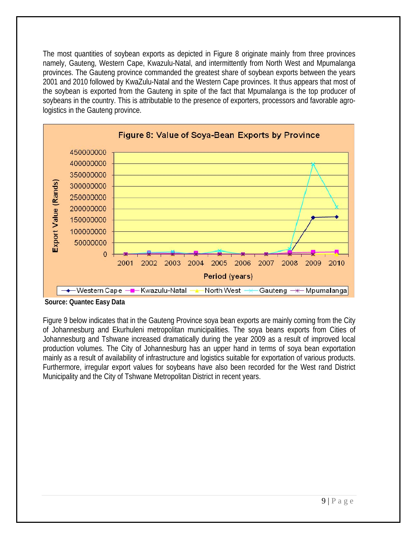The most quantities of soybean exports as depicted in Figure 8 originate mainly from three provinces namely, Gauteng, Western Cape, Kwazulu-Natal, and intermittently from North West and Mpumalanga provinces. The Gauteng province commanded the greatest share of soybean exports between the years 2001 and 2010 followed by KwaZulu-Natal and the Western Cape provinces. It thus appears that most of the soybean is exported from the Gauteng in spite of the fact that Mpumalanga is the top producer of soybeans in the country. This is attributable to the presence of exporters, processors and favorable agrologistics in the Gauteng province.



**Source: Quantec Easy Data** 

Figure 9 below indicates that in the Gauteng Province soya bean exports are mainly coming from the City of Johannesburg and Ekurhuleni metropolitan municipalities. The soya beans exports from Cities of Johannesburg and Tshwane increased dramatically during the year 2009 as a result of improved local production volumes. The City of Johannesburg has an upper hand in terms of soya bean exportation mainly as a result of availability of infrastructure and logistics suitable for exportation of various products. Furthermore, irregular export values for soybeans have also been recorded for the West rand District Municipality and the City of Tshwane Metropolitan District in recent years.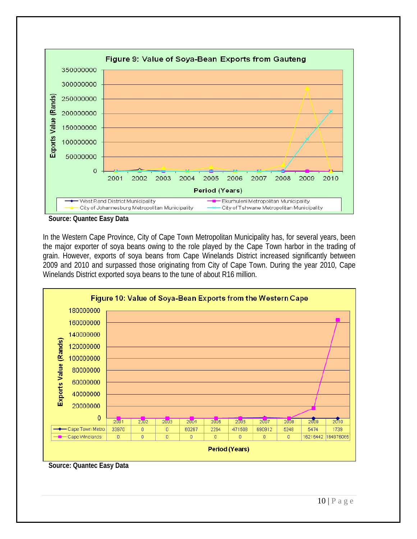

In the Western Cape Province, City of Cape Town Metropolitan Municipality has, for several years, been the major exporter of soya beans owing to the role played by the Cape Town harbor in the trading of grain. However, exports of soya beans from Cape Winelands District increased significantly between 2009 and 2010 and surpassed those originating from City of Cape Town. During the year 2010, Cape Winelands District exported soya beans to the tune of about R16 million.



**Source: Quantec Easy Data**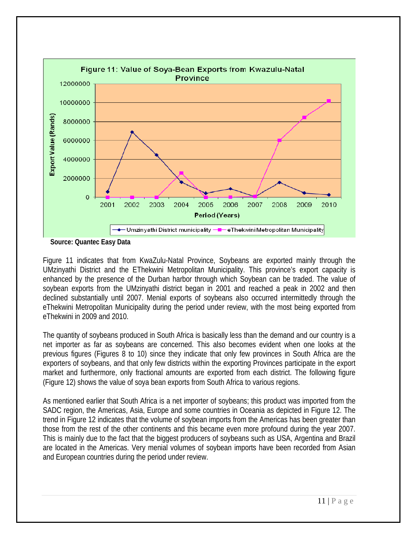

**Source: Quantec Easy Data** 

Figure 11 indicates that from KwaZulu-Natal Province, Soybeans are exported mainly through the UMzinyathi District and the EThekwini Metropolitan Municipality. This province's export capacity is enhanced by the presence of the Durban harbor through which Soybean can be traded. The value of soybean exports from the UMzinyathi district began in 2001 and reached a peak in 2002 and then declined substantially until 2007. Menial exports of soybeans also occurred intermittedly through the eThekwini Metropolitan Municipality during the period under review, with the most being exported from eThekwini in 2009 and 2010.

The quantity of soybeans produced in South Africa is basically less than the demand and our country is a net importer as far as soybeans are concerned. This also becomes evident when one looks at the previous figures (Figures 8 to 10) since they indicate that only few provinces in South Africa are the exporters of soybeans, and that only few districts within the exporting Provinces participate in the export market and furthermore, only fractional amounts are exported from each district. The following figure (Figure 12) shows the value of soya bean exports from South Africa to various regions.

As mentioned earlier that South Africa is a net importer of soybeans; this product was imported from the SADC region, the Americas, Asia, Europe and some countries in Oceania as depicted in Figure 12. The trend in Figure 12 indicates that the volume of soybean imports from the Americas has been greater than those from the rest of the other continents and this became even more profound during the year 2007. This is mainly due to the fact that the biggest producers of soybeans such as USA, Argentina and Brazil are located in the Americas. Very menial volumes of soybean imports have been recorded from Asian and European countries during the period under review.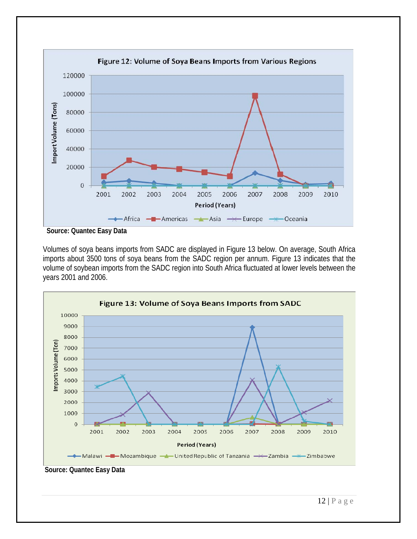

**Source: Quantec Easy Data** 

Volumes of soya beans imports from SADC are displayed in Figure 13 below. On average, South Africa imports about 3500 tons of soya beans from the SADC region per annum. Figure 13 indicates that the volume of soybean imports from the SADC region into South Africa fluctuated at lower levels between the years 2001 and 2006.

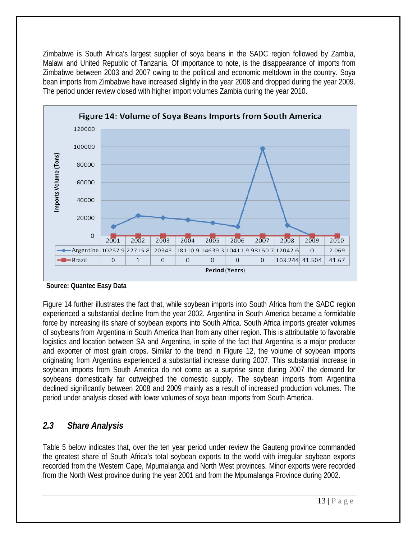<span id="page-13-0"></span>Zimbabwe is South Africa's largest supplier of soya beans in the SADC region followed by Zambia, Malawi and United Republic of Tanzania. Of importance to note, is the disappearance of imports from Zimbabwe between 2003 and 2007 owing to the political and economic meltdown in the country. Soya bean imports from Zimbabwe have increased slightly in the year 2008 and dropped during the year 2009. The period under review closed with higher import volumes Zambia during the year 2010.



**Source: Quantec Easy Data** 

Figure 14 further illustrates the fact that, while soybean imports into South Africa from the SADC region experienced a substantial decline from the year 2002, Argentina in South America became a formidable force by increasing its share of soybean exports into South Africa. South Africa imports greater volumes of soybeans from Argentina in South America than from any other region. This is attributable to favorable logistics and location between SA and Argentina, in spite of the fact that Argentina is a major producer and exporter of most grain crops. Similar to the trend in Figure 12, the volume of soybean imports originating from Argentina experienced a substantial increase during 2007. This substantial increase in soybean imports from South America do not come as a surprise since during 2007 the demand for soybeans domestically far outweighed the domestic supply. The soybean imports from Argentina declined significantly between 2008 and 2009 mainly as a result of increased production volumes. The period under analysis closed with lower volumes of soya bean imports from South America.

## *2.3 Share Analysis*

Table 5 below indicates that, over the ten year period under review the Gauteng province commanded the greatest share of South Africa's total soybean exports to the world with irregular soybean exports recorded from the Western Cape, Mpumalanga and North West provinces. Minor exports were recorded from the North West province during the year 2001 and from the Mpumalanga Province during 2002.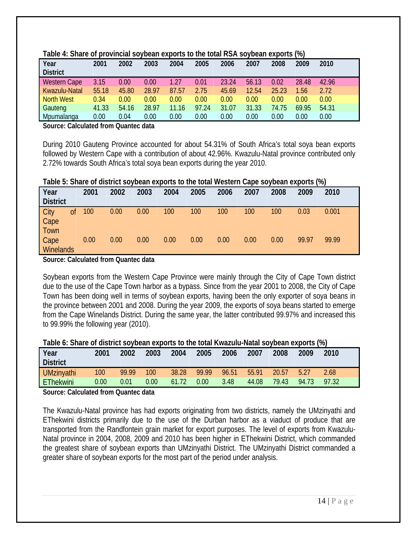| Year<br><b>District</b> | 2001  | 2002  | 2003  | 2004     | 2005  | 2006  | 2007  | 2008  | 2009  | 2010  |
|-------------------------|-------|-------|-------|----------|-------|-------|-------|-------|-------|-------|
| <b>Western Cape</b>     | 3.15  | 0.00  | 0.00  | 1.27     | 0.01  | 23.24 | 56.13 | 0.02  | 28.48 | 42.96 |
| Kwazulu-Natal           | 55.18 | 45.80 | 28.97 | 87.57    | 2.75  | 45.69 | 12.54 | 25.23 | .56   | 2.72  |
| North West              | 0.34  | 0.00  | 0.00  | 0.00     | 0.00  | 0.00  | 0.00  | 0.00  | 0.00  | 0.00  |
| Gauteng                 | 41.33 | 54.16 | 28.97 | 11.16    | 97.24 | 31.07 | 31.33 | 74.75 | 69.95 | 54.31 |
| Mpumalanga              | 0.00  | 0.04  | 0.00  | $0.00\,$ | 0.00  | 0.00  | 0.00  | 0.00  | 0.00  | 0.00  |

#### **Table 4: Share of provincial soybean exports to the total RSA soybean exports (%)**

**Source: Calculated from Quantec data** 

During 2010 Gauteng Province accounted for about 54.31% of South Africa's total soya bean exports followed by Western Cape with a contribution of about 42.96%. Kwazulu-Natal province contributed only 2.72% towards South Africa's total soya bean exports during the year 2010.

| Table 5: Share of district soybean exports to the total Western Cape soybean exports (%) |  |  |  |  |  |
|------------------------------------------------------------------------------------------|--|--|--|--|--|
|------------------------------------------------------------------------------------------|--|--|--|--|--|

|                                    |    |      |      |      |      |      |      |      |      |       | - -   |  |
|------------------------------------|----|------|------|------|------|------|------|------|------|-------|-------|--|
| Year<br><b>District</b>            |    | 2001 | 2002 | 2003 | 2004 | 2005 | 2006 | 2007 | 2008 | 2009  | 2010  |  |
| <b>City</b><br>Cape<br><b>Town</b> | Οf | 100  | 0.00 | 0.00 | 100  | 100  | 100  | 100  | 100  | 0.03  | 0.001 |  |
| Cape<br><b>Winelands</b>           |    | 0.00 | 0.00 | 0.00 | 0.00 | 0.00 | 0.00 | 0.00 | 0.00 | 99.97 | 99.99 |  |

**Source: Calculated from Quantec data** 

Soybean exports from the Western Cape Province were mainly through the City of Cape Town district due to the use of the Cape Town harbor as a bypass. Since from the year 2001 to 2008, the City of Cape Town has been doing well in terms of soybean exports, having been the only exporter of soya beans in the province between 2001 and 2008. During the year 2009, the exports of soya beans started to emerge from the Cape Winelands District. During the same year, the latter contributed 99.97% and increased this to 99.99% the following year (2010).

| Table 6: Share of district soybean exports to the total Kwazulu-Natal soybean exports (%) |  |
|-------------------------------------------------------------------------------------------|--|
|                                                                                           |  |

| Year<br><b>District</b> | 2001 | 2002  | 2003 | 2004  | 2005  | 2006  | 2007  | 2008  | 2009  | 2010  |
|-------------------------|------|-------|------|-------|-------|-------|-------|-------|-------|-------|
| <b>UMzinyathi</b>       | 100  | 99.99 | 100  | 38.28 | 99.99 | 96.51 | 55.91 | 20.57 | 5.27  | 2.68  |
| EThekwini               | 0.00 | 0.01  | 0.00 | 61.72 | 0.00  | 3.48  | 44.08 | 79.43 | 94.73 | 97.32 |

**Source: Calculated from Quantec data** 

The Kwazulu-Natal province has had exports originating from two districts, namely the UMzinyathi and EThekwini districts primarily due to the use of the Durban harbor as a viaduct of produce that are transported from the Randfontein grain market for export purposes. The level of exports from Kwazulu-Natal province in 2004, 2008, 2009 and 2010 has been higher in EThekwini District, which commanded the greatest share of soybean exports than UMzinyathi District. The UMzinyathi District commanded a greater share of soybean exports for the most part of the period under analysis.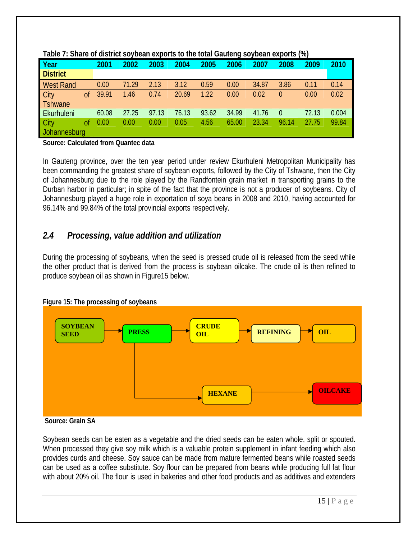| Year             |                | 2001  | 2002  | 2003  | 2004  | 2005  | $\cdot$<br>2006 | 2007  | 2008     | $\ddot{\phantom{1}}$<br>2009 | 2010  |
|------------------|----------------|-------|-------|-------|-------|-------|-----------------|-------|----------|------------------------------|-------|
| <b>District</b>  |                |       |       |       |       |       |                 |       |          |                              |       |
| <b>West Rand</b> |                | 0.00  | 71.29 | 2.13  | 3.12  | 0.59  | 0.00            | 34.87 | 3.86     | 0.11                         | 0.14  |
| City             | 0 <sup>f</sup> | 39.91 | 1.46  | 0.74  | 20.69 | 1.22  | 0.00            | 0.02  | $\theta$ | 0.00                         | 0.02  |
| Tshwane          |                |       |       |       |       |       |                 |       |          |                              |       |
| Ekurhuleni       |                | 60.08 | 27.25 | 97.13 | 76.13 | 93.62 | 34.99           | 41.76 | $\Omega$ | 72.13                        | 0.004 |
| City             | οf             | 0.00  | 0.00  | 0.00  | 0.05  | 4.56  | 65.00           | 23.34 | 96.14    | 27.75                        | 99.84 |
| Johannesburg     |                |       |       |       |       |       |                 |       |          |                              |       |

#### <span id="page-15-0"></span>**Table 7: Share of district soybean exports to the total Gauteng soybean exports (%)**

**Source: Calculated from Quantec data** 

In Gauteng province, over the ten year period under review Ekurhuleni Metropolitan Municipality has been commanding the greatest share of soybean exports, followed by the City of Tshwane, then the City of Johannesburg due to the role played by the Randfontein grain market in transporting grains to the Durban harbor in particular; in spite of the fact that the province is not a producer of soybeans. City of Johannesburg played a huge role in exportation of soya beans in 2008 and 2010, having accounted for 96.14% and 99.84% of the total provincial exports respectively.

### *2.4 Processing, value addition and utilization*

During the processing of soybeans, when the seed is pressed crude oil is released from the seed while the other product that is derived from the process is soybean oilcake. The crude oil is then refined to produce soybean oil as shown in Figure15 below.





**Source: Grain SA** 

Soybean seeds can be eaten as a vegetable and the dried seeds can be eaten whole, split or spouted. When processed they give soy milk which is a valuable protein supplement in infant feeding which also provides curds and cheese. Soy sauce can be made from mature fermented beans while roasted seeds can be used as a coffee substitute. Soy flour can be prepared from beans while producing full fat flour with about 20% oil. The flour is used in bakeries and other food products and as additives and extenders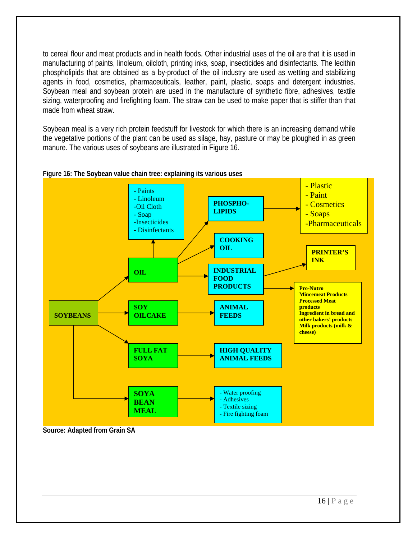to cereal flour and meat products and in health foods. Other industrial uses of the oil are that it is used in manufacturing of paints, linoleum, oilcloth, printing inks, soap, insecticides and disinfectants. The lecithin phospholipids that are obtained as a by-product of the oil industry are used as wetting and stabilizing agents in food, cosmetics, pharmaceuticals, leather, paint, plastic, soaps and detergent industries. Soybean meal and soybean protein are used in the manufacture of synthetic fibre, adhesives, textile sizing, waterproofing and firefighting foam. The straw can be used to make paper that is stiffer than that made from wheat straw.

Soybean meal is a very rich protein feedstuff for livestock for which there is an increasing demand while the vegetative portions of the plant can be used as silage, hay, pasture or may be ploughed in as green manure. The various uses of soybeans are illustrated in Figure 16.





**Source: Adapted from Grain SA**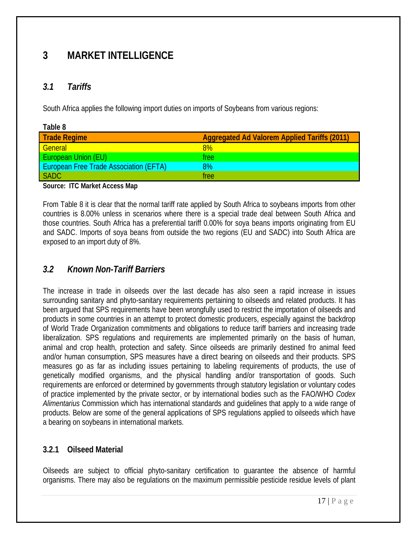# <span id="page-17-0"></span>**3 MARKET INTELLIGENCE**

## *3.1 Tariffs*

South Africa applies the following import duties on imports of Soybeans from various regions:

| Table 8                                       |                                              |
|-----------------------------------------------|----------------------------------------------|
| <b>Trade Regime</b>                           | Aggregated Ad Valorem Applied Tariffs (2011) |
| General                                       | 8%                                           |
| <b>European Union (EU)</b>                    | tree                                         |
| <b>European Free Trade Association (EFTA)</b> | 8%                                           |
| SADC                                          | free                                         |

**Source: ITC Market Access Map** 

From Table 8 it is clear that the normal tariff rate applied by South Africa to soybeans imports from other countries is 8.00% unless in scenarios where there is a special trade deal between South Africa and those countries. South Africa has a preferential tariff 0.00% for soya beans imports originating from EU and SADC. Imports of soya beans from outside the two regions (EU and SADC) into South Africa are exposed to an import duty of 8%.

## *3.2 Known Non-Tariff Barriers*

The increase in trade in oilseeds over the last decade has also seen a rapid increase in issues surrounding sanitary and phyto-sanitary requirements pertaining to oilseeds and related products. It has been argued that SPS requirements have been wrongfully used to restrict the importation of oilseeds and products in some countries in an attempt to protect domestic producers, especially against the backdrop of World Trade Organization commitments and obligations to reduce tariff barriers and increasing trade liberalization. SPS regulations and requirements are implemented primarily on the basis of human, animal and crop health, protection and safety. Since oilseeds are primarily destined fro animal feed and/or human consumption, SPS measures have a direct bearing on oilseeds and their products. SPS measures go as far as including issues pertaining to labeling requirements of products, the use of genetically modified organisms, and the physical handling and/or transportation of goods. Such requirements are enforced or determined by governments through statutory legislation or voluntary codes of practice implemented by the private sector, or by international bodies such as the FAO/WHO *Codex Alimentarius* Commission which has international standards and guidelines that apply to a wide range of products. Below are some of the general applications of SPS regulations applied to oilseeds which have a bearing on soybeans in international markets.

### **3.2.1 Oilseed Material**

Oilseeds are subject to official phyto-sanitary certification to guarantee the absence of harmful organisms. There may also be regulations on the maximum permissible pesticide residue levels of plant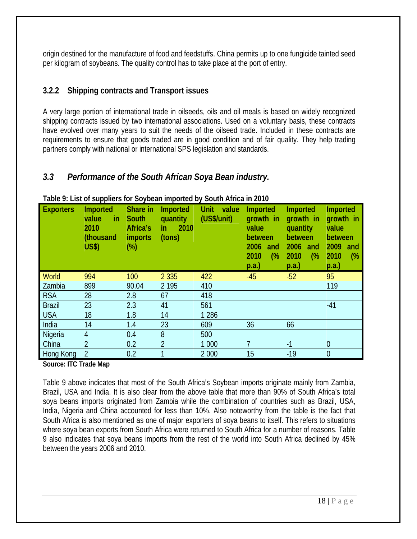<span id="page-18-0"></span>origin destined for the manufacture of food and feedstuffs. China permits up to one fungicide tainted seed per kilogram of soybeans. The quality control has to take place at the port of entry.

### **3.2.2 Shipping contracts and Transport issues**

A very large portion of international trade in oilseeds, oils and oil meals is based on widely recognized shipping contracts issued by two international associations. Used on a voluntary basis, these contracts have evolved over many years to suit the needs of the oilseed trade. Included in these contracts are requirements to ensure that goods traded are in good condition and of fair quality. They help trading partners comply with national or international SPS legislation and standards.

## *3.3 Performance of the South African Soya Bean industry.*

| <b>Exporters</b> | Imported<br>in<br>value<br>2010<br>(thousand<br><b>US\$)</b> | Share in<br>South<br>Africa's<br><i>imports</i><br>$(\%)$ | <b>Imported</b><br>quantity<br>2010<br>in<br>(tons) | Unit<br>value<br>(US\$/unit) | <b>Imported</b><br>growth in<br>value<br>between<br>2006<br>and<br>(%<br>2010<br>p.a.) | <b>Imported</b><br>growth in<br>quantity<br>between<br>2006<br>and<br>$\frac{6}{6}$<br>2010<br>p.a.) | <b>Imported</b><br>growth in<br>value<br>between<br>2009<br>and<br>2010<br>(%<br>p.a. |
|------------------|--------------------------------------------------------------|-----------------------------------------------------------|-----------------------------------------------------|------------------------------|----------------------------------------------------------------------------------------|------------------------------------------------------------------------------------------------------|---------------------------------------------------------------------------------------|
| <b>World</b>     | 994                                                          | 100                                                       | 2 3 3 5                                             | 422                          | $-45$                                                                                  | $-52$                                                                                                | 95                                                                                    |
| Zambia           | 899                                                          | 90.04                                                     | 2 1 9 5                                             | 410                          |                                                                                        |                                                                                                      | 119                                                                                   |
| <b>RSA</b>       | 28                                                           | 2.8                                                       | 67                                                  | 418                          |                                                                                        |                                                                                                      |                                                                                       |
| <b>Brazil</b>    | 23                                                           | 2.3                                                       | 41                                                  | 561                          |                                                                                        |                                                                                                      | $-41$                                                                                 |
| <b>USA</b>       | 18                                                           | 1.8                                                       | 14                                                  | 1 2 8 6                      |                                                                                        |                                                                                                      |                                                                                       |
| India            | 14                                                           | 1.4                                                       | 23                                                  | 609                          | 36                                                                                     | 66                                                                                                   |                                                                                       |
| Nigeria          | $\overline{4}$                                               | 0.4                                                       | 8                                                   | 500                          |                                                                                        |                                                                                                      |                                                                                       |
| China            | $\overline{2}$                                               | 0.2                                                       | $\overline{2}$                                      | 1 0 0 0                      |                                                                                        | $-1$                                                                                                 | $\overline{0}$                                                                        |
| Hong Kong        | $\overline{2}$                                               | 0.2                                                       | 1                                                   | 2 0 0 0                      | 15                                                                                     | $-19$                                                                                                | $\overline{0}$                                                                        |

#### **Table 9: List of suppliers for Soybean imported by South Africa in 2010**

**Source: ITC Trade Map** 

Table 9 above indicates that most of the South Africa's Soybean imports originate mainly from Zambia, Brazil, USA and India. It is also clear from the above table that more than 90% of South Africa's total soya beans imports originated from Zambia while the combination of countries such as Brazil, USA, India, Nigeria and China accounted for less than 10%. Also noteworthy from the table is the fact that South Africa is also mentioned as one of major exporters of soya beans to itself. This refers to situations where soya bean exports from South Africa were returned to South Africa for a number of reasons. Table 9 also indicates that soya beans imports from the rest of the world into South Africa declined by 45% between the years 2006 and 2010.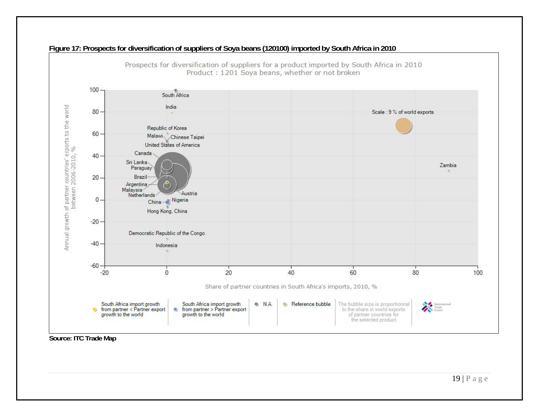

#### **Figure 17: Prospects for diversification of suppliers of Soya beans (120100) imported by South Africa in 2010**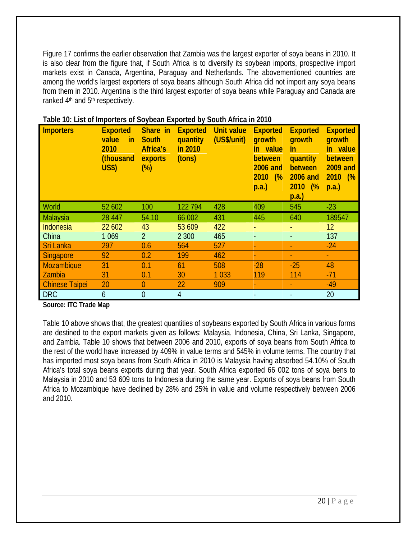Figure 17 confirms the earlier observation that Zambia was the largest exporter of soya beans in 2010. It is also clear from the figure that, if South Africa is to diversify its soybean imports, prospective import markets exist in Canada, Argentina, Paraguay and Netherlands. The abovementioned countries are among the world's largest exporters of soya beans although South Africa did not import any soya beans from them in 2010. Argentina is the third largest exporter of soya beans while Paraguay and Canada are ranked 4<sup>th</sup> and 5<sup>th</sup> respectively.

| <b>Importers</b>      | <b>Exported</b><br>value<br>in<br>2010<br>(thousand<br><b>US\$)</b> | Share in<br><b>South</b><br>Africa's<br>exports<br>$(\%)$ | <b>Exported</b><br>quantity<br>in 2010<br>(tons) | <b>Unit value</b><br>(US\$/unit) | <b>Exported</b><br>growth<br>in value<br>between<br><b>2006 and</b><br>2010<br>(%<br>p.a.) | <b>Exported</b><br>growth<br>in<br>quantity<br>between<br><b>2006 and</b><br>2010<br>$\frac{6}{2}$<br>p.a.) | <b>Exported</b><br>growth<br>in value<br>between<br><b>2009 and</b><br>2010<br>$\frac{6}{2}$<br>p.a.) |
|-----------------------|---------------------------------------------------------------------|-----------------------------------------------------------|--------------------------------------------------|----------------------------------|--------------------------------------------------------------------------------------------|-------------------------------------------------------------------------------------------------------------|-------------------------------------------------------------------------------------------------------|
| World                 | 52 602                                                              | 100                                                       | 122 794                                          | 428                              | 409                                                                                        | 545                                                                                                         | $-23$                                                                                                 |
| Malaysia              | 28 447                                                              | 54.10                                                     | 66 002                                           | 431                              | 445                                                                                        | 640                                                                                                         | 189547                                                                                                |
| <b>Indonesia</b>      | 22 602                                                              | 43                                                        | 53 609                                           | 422                              |                                                                                            |                                                                                                             | 12                                                                                                    |
| China                 | 1 0 6 9                                                             | $\overline{2}$                                            | 2 3 0 0                                          | 465                              |                                                                                            |                                                                                                             | 137                                                                                                   |
| <b>Sri Lanka</b>      | 297                                                                 | 0.6                                                       | 564                                              | 527                              |                                                                                            |                                                                                                             | $-24$                                                                                                 |
| <b>Singapore</b>      | 92                                                                  | 0.2                                                       | 199                                              | 462                              |                                                                                            |                                                                                                             |                                                                                                       |
| Mozambique            | 31                                                                  | 0.1                                                       | 61                                               | 508                              | $-28$                                                                                      | $-25$                                                                                                       | 48                                                                                                    |
| Zambia                | 31                                                                  | 0.1                                                       | 30                                               | 1033                             | 119                                                                                        | 114                                                                                                         | $-71$                                                                                                 |
| <b>Chinese Taipei</b> | 20                                                                  | $\overline{0}$                                            | 22                                               | 909                              | ٠                                                                                          | ٠                                                                                                           | $-49$                                                                                                 |
| <b>DRC</b>            | 6                                                                   | 0                                                         | 4                                                |                                  |                                                                                            |                                                                                                             | 20                                                                                                    |

|  |  |  | Table 10: List of Importers of Soybean Exported by South Africa in 2010 |  |  |  |
|--|--|--|-------------------------------------------------------------------------|--|--|--|
|  |  |  |                                                                         |  |  |  |

**Source: ITC Trade Map** 

Table 10 above shows that, the greatest quantities of soybeans exported by South Africa in various forms are destined to the export markets given as follows: Malaysia, Indonesia, China, Sri Lanka, Singapore, and Zambia. Table 10 shows that between 2006 and 2010, exports of soya beans from South Africa to the rest of the world have increased by 409% in value terms and 545% in volume terms. The country that has imported most soya beans from South Africa in 2010 is Malaysia having absorbed 54.10% of South Africa's total soya beans exports during that year. South Africa exported 66 002 tons of soya bens to Malaysia in 2010 and 53 609 tons to Indonesia during the same year. Exports of soya beans from South Africa to Mozambique have declined by 28% and 25% in value and volume respectively between 2006 and 2010.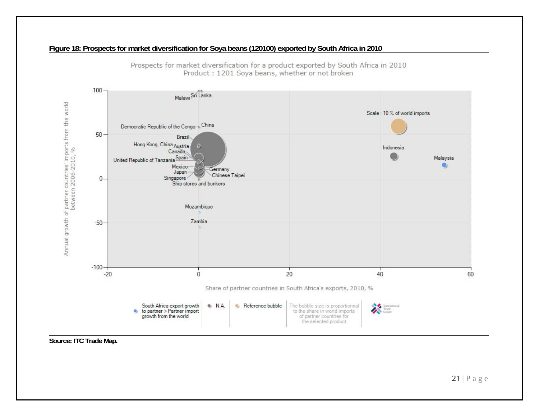

#### **Figure 18: Prospects for market diversification for Soya beans (120100) exported by South Africa in 2010**

**Source: ITC Trade Map***.*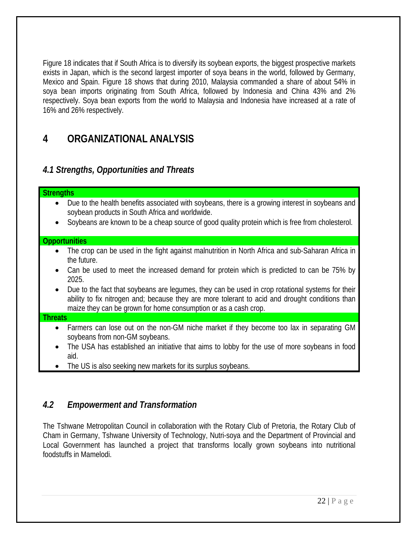<span id="page-22-0"></span>Figure 18 indicates that if South Africa is to diversify its soybean exports, the biggest prospective markets exists in Japan, which is the second largest importer of soya beans in the world, followed by Germany, Mexico and Spain. Figure 18 shows that during 2010, Malaysia commanded a share of about 54% in soya bean imports originating from South Africa, followed by Indonesia and China 43% and 2% respectively. Soya bean exports from the world to Malaysia and Indonesia have increased at a rate of 16% and 26% respectively.

# **4 ORGANIZATIONAL ANALYSIS**

## *4.1 Strengths, Opportunities and Threats*

| <b>Strengths</b>                                                                                                                                                                                                                                                                    |
|-------------------------------------------------------------------------------------------------------------------------------------------------------------------------------------------------------------------------------------------------------------------------------------|
| Due to the health benefits associated with soybeans, there is a growing interest in soybeans and<br>$\bullet$<br>soybean products in South Africa and worldwide.<br>Soybeans are known to be a cheap source of good quality protein which is free from cholesterol.<br>$\bullet$    |
| <b>Opportunities</b>                                                                                                                                                                                                                                                                |
| The crop can be used in the fight against malnutrition in North Africa and sub-Saharan Africa in<br>the future.                                                                                                                                                                     |
| Can be used to meet the increased demand for protein which is predicted to can be 75% by<br>$\bullet$<br>2025.                                                                                                                                                                      |
| Due to the fact that soybeans are legumes, they can be used in crop rotational systems for their<br>$\bullet$<br>ability to fix nitrogen and; because they are more tolerant to acid and drought conditions than<br>maize they can be grown for home consumption or as a cash crop. |
| <b>Threats</b>                                                                                                                                                                                                                                                                      |
| Farmers can lose out on the non-GM niche market if they become too lax in separating GM<br>$\bullet$<br>soybeans from non-GM soybeans.                                                                                                                                              |
| The USA has established an initiative that aims to lobby for the use of more soybeans in food<br>$\bullet$<br>aid.                                                                                                                                                                  |
| The US is also seeking new markets for its surplus soybeans.                                                                                                                                                                                                                        |

### *4.2 Empowerment and Transformation*

The Tshwane Metropolitan Council in collaboration with the Rotary Club of Pretoria, the Rotary Club of Cham in Germany, Tshwane University of Technology, Nutri-soya and the Department of Provincial and Local Government has launched a project that transforms locally grown soybeans into nutritional foodstuffs in Mamelodi.